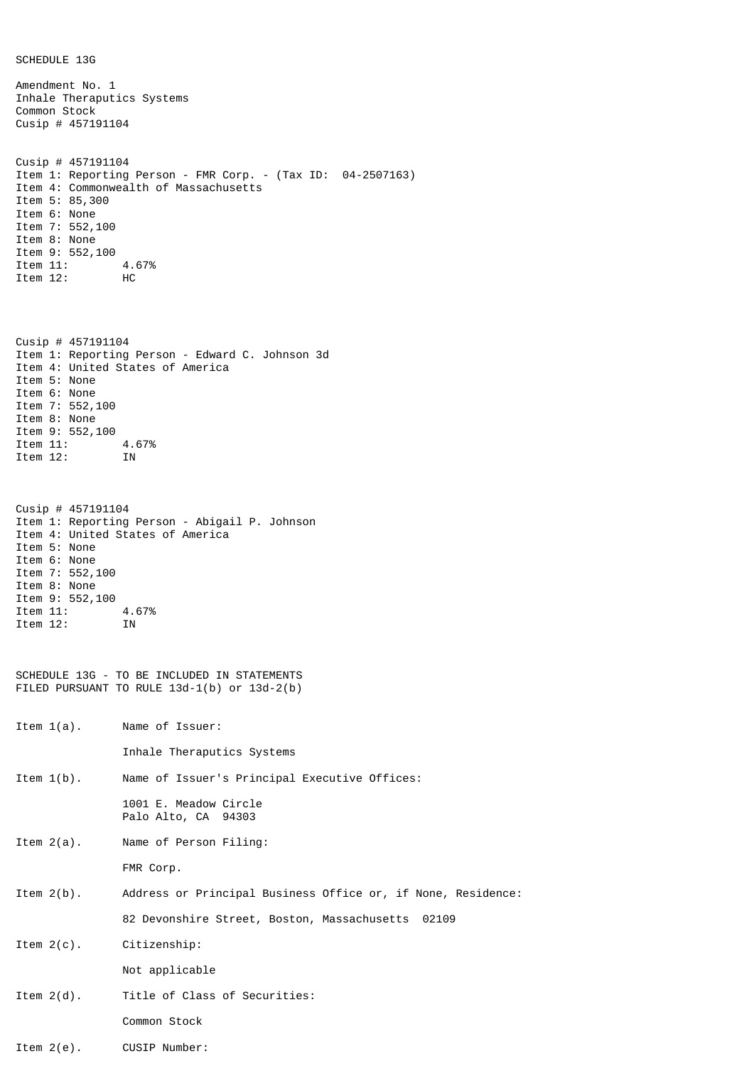| Amendment No. 1<br>Inhale Theraputics Systems<br>Common Stock<br>Cusip # $457191104$                                                    |                                                                                                                     |
|-----------------------------------------------------------------------------------------------------------------------------------------|---------------------------------------------------------------------------------------------------------------------|
| Cusip # $457191104$<br>Item 5: 85,300<br>Item 6: None<br>Item 7: 552,100<br>Item 8: None<br>Item 9: 552,100<br>Item 11:<br>Item 12:     | Item 1: Reporting Person - FMR Corp. - (Tax ID: 04-2507163)<br>Item 4: Commonwealth of Massachusetts<br>4.67%<br>нc |
| Cusip # $457191104$<br>Item 5: None<br>Item 6: None<br>Item 7: 552,100<br>Item 8: None<br>Item 9: 552,100<br>Item 11: 4.67%<br>Item 12: | Item 1: Reporting Person - Edward C. Johnson 3d<br>Item 4: United States of America<br>ΙN                           |
| Cusip # $457191104$<br>Item 5: None<br>Item 6: None<br>Item 7: 552,100<br>Item 8: None<br>Item 9: 552,100<br>Item 11:<br>Item 12:       | Item 1: Reporting Person - Abigail P. Johnson<br>Item 4: United States of America<br>4.67%<br>ΙN                    |
| SCHEDULE 13G - TO BE INCLUDED IN STATEMENTS<br>FILED PURSUANT TO RULE 13d-1(b) or 13d-2(b)                                              |                                                                                                                     |
| Item $1(a)$ .                                                                                                                           | Name of Issuer:                                                                                                     |
|                                                                                                                                         | Inhale Theraputics Systems                                                                                          |
| Item $1(b)$ .                                                                                                                           | Name of Issuer's Principal Executive Offices:                                                                       |
|                                                                                                                                         | 1001 E. Meadow Circle<br>Palo Alto, CA 94303                                                                        |
| Item $2(a)$ .                                                                                                                           | Name of Person Filing:                                                                                              |
|                                                                                                                                         | FMR Corp.                                                                                                           |
| Item $2(b)$ .                                                                                                                           | Address or Principal Business Office or, if None, Residence:                                                        |
|                                                                                                                                         | 82 Devonshire Street, Boston, Massachusetts 02109                                                                   |
| Item $2(c)$ .                                                                                                                           | Citizenship:                                                                                                        |
|                                                                                                                                         | Not applicable                                                                                                      |
| Item $2(d)$ .                                                                                                                           | Title of Class of Securities:                                                                                       |
|                                                                                                                                         | Common Stock                                                                                                        |

Item 2(e). CUSIP Number:

SCHEDULE 13G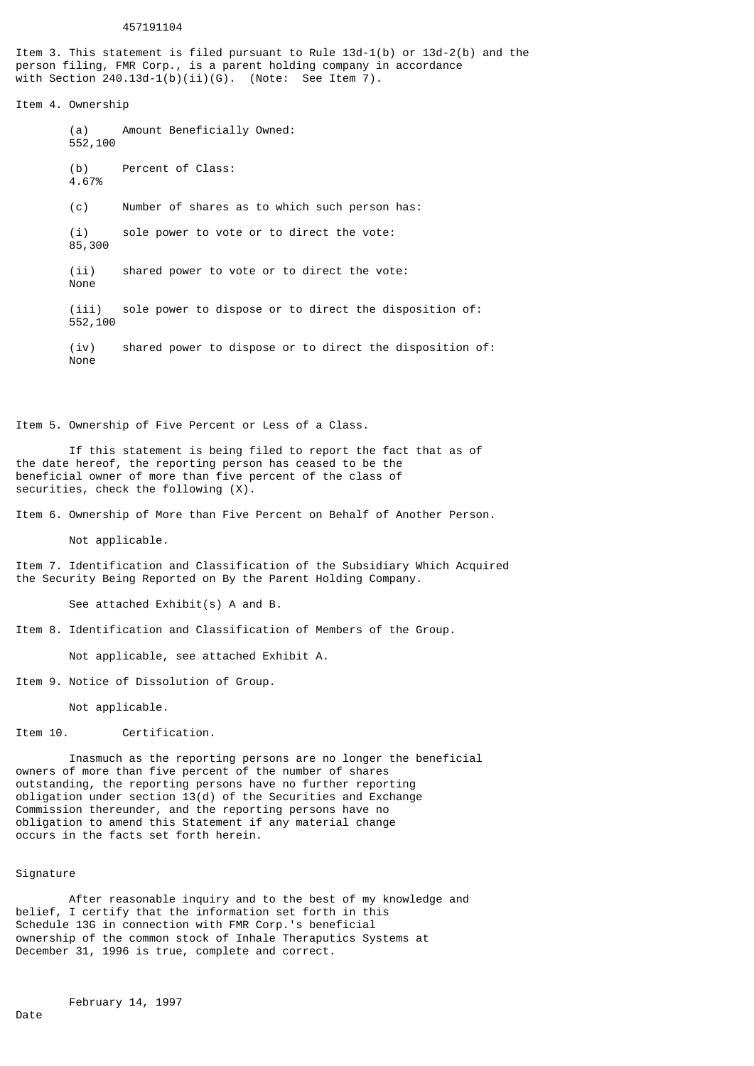## 457191104

Item 3. This statement is filed pursuant to Rule 13d-1(b) or 13d-2(b) and the person filing, FMR Corp., is a parent holding company in accordance with Section  $240.13d-1(b)(ii)(G)$ . (Note: See Item 7).

Item 4. Ownership

(a) Amount Beneficially Owned: 552,100 (b) Percent of Class: 4.67% (c) Number of shares as to which such person has: (i) sole power to vote or to direct the vote: 85,300 (ii) shared power to vote or to direct the vote: None (iii) sole power to dispose or to direct the disposition of: 552,100 (iv) shared power to dispose or to direct the disposition of: None

Item 5. Ownership of Five Percent or Less of a Class.

If this statement is being filed to report the fact that as of the date hereof, the reporting person has ceased to be the beneficial owner of more than five percent of the class of securities, check the following (X).

Item 6. Ownership of More than Five Percent on Behalf of Another Person.

Not applicable.

Item 7. Identification and Classification of the Subsidiary Which Acquired the Security Being Reported on By the Parent Holding Company.

See attached Exhibit(s) A and B.

Item 8. Identification and Classification of Members of the Group.

Not applicable, see attached Exhibit A.

Item 9. Notice of Dissolution of Group.

Not applicable.

Item 10. Certification.

Inasmuch as the reporting persons are no longer the beneficial owners of more than five percent of the number of shares outstanding, the reporting persons have no further reporting obligation under section  $13(d)$  of the Securities and Exchange Commission thereunder, and the reporting persons have no obligation to amend this Statement if any material change occurs in the facts set forth herein.

## Signature

After reasonable inquiry and to the best of my knowledge and belief, I certify that the information set forth in this Schedule 13G in connection with FMR Corp.'s beneficial ownership of the common stock of Inhale Theraputics Systems at December 31, 1996 is true, complete and correct.

February 14, 1997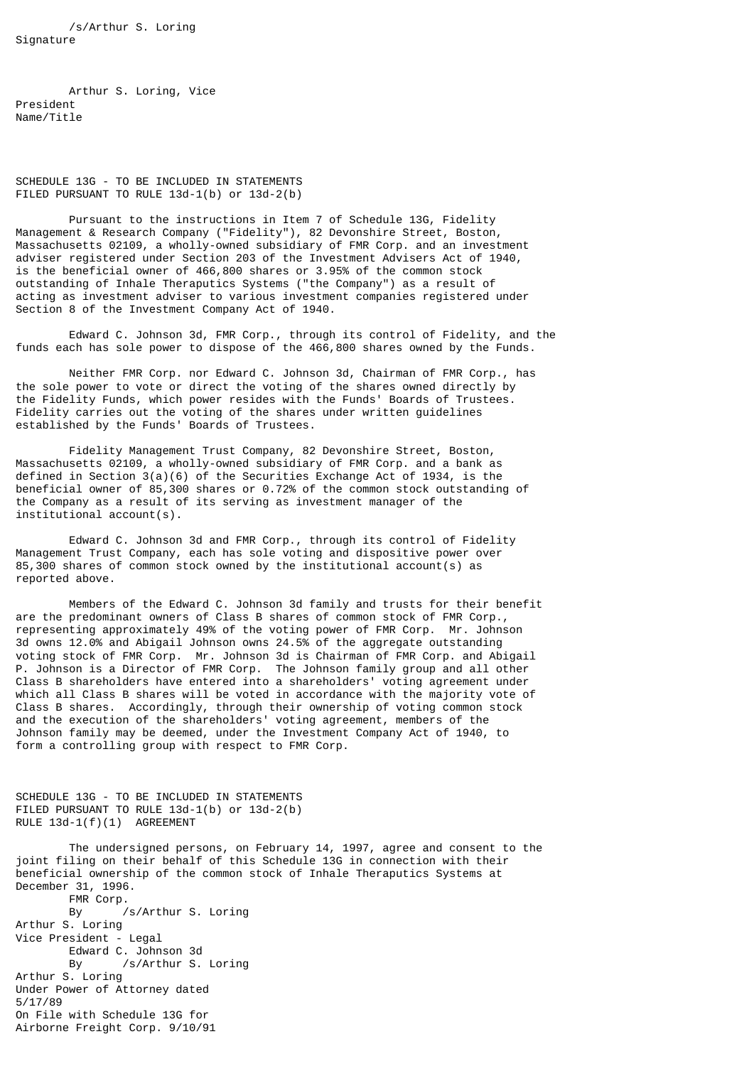/s/Arthur S. Loring Signature

Arthur S. Loring, Vice President Name/Title

SCHEDULE 13G - TO BE INCLUDED IN STATEMENTS FILED PURSUANT TO RULE 13d-1(b) or 13d-2(b)

Pursuant to the instructions in Item 7 of Schedule 13G, Fidelity Management & Research Company ("Fidelity"), 82 Devonshire Street, Boston, Massachusetts 02109, a wholly-owned subsidiary of FMR Corp. and an investment adviser registered under Section 203 of the Investment Advisers Act of 1940, is the beneficial owner of 466,800 shares or 3.95% of the common stock outstanding of Inhale Theraputics Systems ("the Company") as a result of acting as investment adviser to various investment companies registered under Section 8 of the Investment Company Act of 1940.

Edward C. Johnson 3d, FMR Corp., through its control of Fidelity, and the funds each has sole power to dispose of the 466,800 shares owned by the Funds.

Neither FMR Corp. nor Edward C. Johnson 3d, Chairman of FMR Corp., has the sole power to vote or direct the voting of the shares owned directly by the Fidelity Funds, which power resides with the Funds' Boards of Trustees. Fidelity carries out the voting of the shares under written guidelines established by the Funds' Boards of Trustees.

Fidelity Management Trust Company, 82 Devonshire Street, Boston, Massachusetts 02109, a wholly-owned subsidiary of FMR Corp. and a bank as defined in Section 3(a)(6) of the Securities Exchange Act of 1934, is the beneficial owner of 85,300 shares or 0.72% of the common stock outstanding of the Company as a result of its serving as investment manager of the institutional account(s).

Edward C. Johnson 3d and FMR Corp., through its control of Fidelity Management Trust Company, each has sole voting and dispositive power over 85,300 shares of common stock owned by the institutional account(s) as reported above.

Members of the Edward C. Johnson 3d family and trusts for their benefit are the predominant owners of Class B shares of common stock of FMR Corp., representing approximately 49% of the voting power of FMR Corp. Mr. Johnson 3d owns 12.0% and Abigail Johnson owns 24.5% of the aggregate outstanding voting stock of FMR Corp. Mr. Johnson 3d is Chairman of FMR Corp. and Abigail P. Johnson is a Director of FMR Corp. The Johnson family group and all other Class B shareholders have entered into a shareholders' voting agreement under which all Class B shares will be voted in accordance with the majority vote of Class B shares. Accordingly, through their ownership of voting common stock and the execution of the shareholders' voting agreement, members of the Johnson family may be deemed, under the Investment Company Act of 1940, to form a controlling group with respect to FMR Corp.

SCHEDULE 13G - TO BE INCLUDED IN STATEMENTS FILED PURSUANT TO RULE 13d-1(b) or 13d-2(b) RULE 13d-1(f)(1) AGREEMENT

The undersigned persons, on February 14, 1997, agree and consent to the joint filing on their behalf of this Schedule 13G in connection with their beneficial ownership of the common stock of Inhale Theraputics Systems at December 31, 1996. FMR Corp. By /s/Arthur S. Loring Arthur S. Loring Vice President - Legal Edward C. Johnson 3d By /s/Arthur S. Loring Arthur S. Loring Under Power of Attorney dated 5/17/89 On File with Schedule 13G for Airborne Freight Corp. 9/10/91